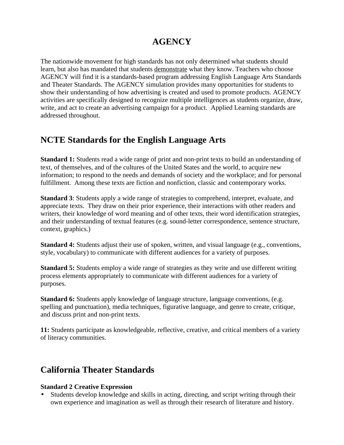## **AGENCY**

The nationwide movement for high standards has not only determined what students should learn, but also has mandated that students demonstrate what they know. Teachers who choose AGENCY will find it is a standards-based program addressing English Language Arts Standards and Theater Standards. The AGENCY simulation provides many opportunities for students to show their understanding of how advertising is created and used to promote products. AGENCY activities are specifically designed to recognize multiple intelligences as students organize, draw, write, and act to create an advertising campaign for a product. Applied Learning standards are addressed throughout.

### **NCTE Standards for the English Language Arts**

**Standard 1:** Students read a wide range of print and non-print texts to build an understanding of text, of themselves, and of the cultures of the United States and the world, to acquire new information; to respond to the needs and demands of society and the workplace; and for personal fulfillment. Among these texts are fiction and nonfiction, classic and contemporary works.

**Standard 3**: Students apply a wide range of strategies to comprehend, interpret, evaluate, and appreciate texts. They draw on their prior experience, their interactions with other readers and writers, their knowledge of word meaning and of other texts, their word identification strategies, and their understanding of textual features (e.g. sound-letter correspondence, sentence structure, context, graphics.)

**Standard 4:** Students adjust their use of spoken, written, and visual language (e.g., conventions, style, vocabulary) to communicate with different audiences for a variety of purposes.

**Standard 5:** Students employ a wide range of strategies as they write and use different writing process elements appropriately to communicate with different audiences for a variety of purposes.

**Standard 6:** Students apply knowledge of language structure, language conventions, (e.g. spelling and punctuation), media techniques, figurative language, and genre to create, critique, and discuss print and non-print texts.

**11:** Students participate as knowledgeable, reflective, creative, and critical members of a variety of literacy communities.

### **California Theater Standards**

#### **Standard 2 Creative Expression**

• Students develop knowledge and skills in acting, directing, and script writing through their own experience and imagination as well as through their research of literature and history.